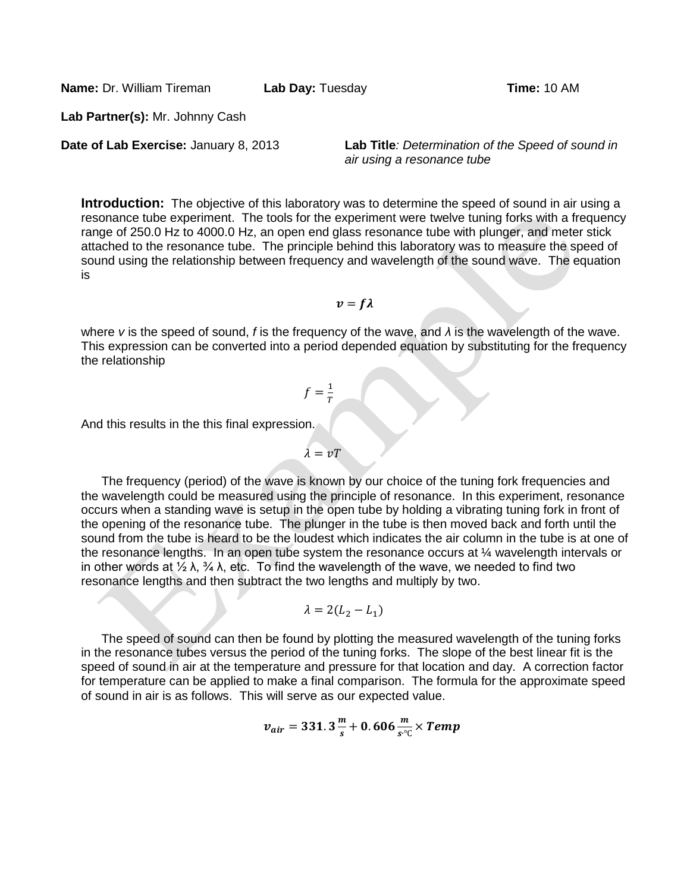**Name:** Dr. William Tireman **Lab Day:** Tuesday

**Lab Partner(s):** Mr. Johnny Cash

**Date of Lab Exercise:** January 8, 2013 **Lab Title***: Determination of the Speed of sound in air using a resonance tube*

**Introduction:** The objective of this laboratory was to determine the speed of sound in air using a resonance tube experiment. The tools for the experiment were twelve tuning forks with a frequency range of 250.0 Hz to 4000.0 Hz, an open end glass resonance tube with plunger, and meter stick attached to the resonance tube. The principle behind this laboratory was to measure the speed of sound using the relationship between frequency and wavelength of the sound wave. The equation is

 $v = f\lambda$ 

where *v* is the speed of sound, *f* is the frequency of the wave, and *λ* is the wavelength of the wave. This expression can be converted into a period depended equation by substituting for the frequency the relationship

$$
f=\frac{1}{T}
$$

And this results in the this final expression.

The frequency (period) of the wave is known by our choice of the tuning fork frequencies and the wavelength could be measured using the principle of resonance. In this experiment, resonance occurs when a standing wave is setup in the open tube by holding a vibrating tuning fork in front of the opening of the resonance tube. The plunger in the tube is then moved back and forth until the sound from the tube is heard to be the loudest which indicates the air column in the tube is at one of the resonance lengths. In an open tube system the resonance occurs at 
$$
\frac{1}{4}
$$
 wavelength intervals or in other words at  $\frac{1}{2}$   $\lambda$ ,  $\frac{3}{4}$   $\lambda$ , etc. To find the wavelength of the wave, we needed to find two resonance lengths and then subtract the two lengths and multiply by two.

$$
\lambda = 2(L_2 - L_1)
$$

The speed of sound can then be found by plotting the measured wavelength of the tuning forks in the resonance tubes versus the period of the tuning forks. The slope of the best linear fit is the speed of sound in air at the temperature and pressure for that location and day. A correction factor for temperature can be applied to make a final comparison. The formula for the approximate speed of sound in air is as follows. This will serve as our expected value.

$$
v_{air}=331.3\frac{m}{s}+0.606\frac{m}{s^{\circ}\text{C}}\times Temp
$$

$$
\lambda = vT
$$